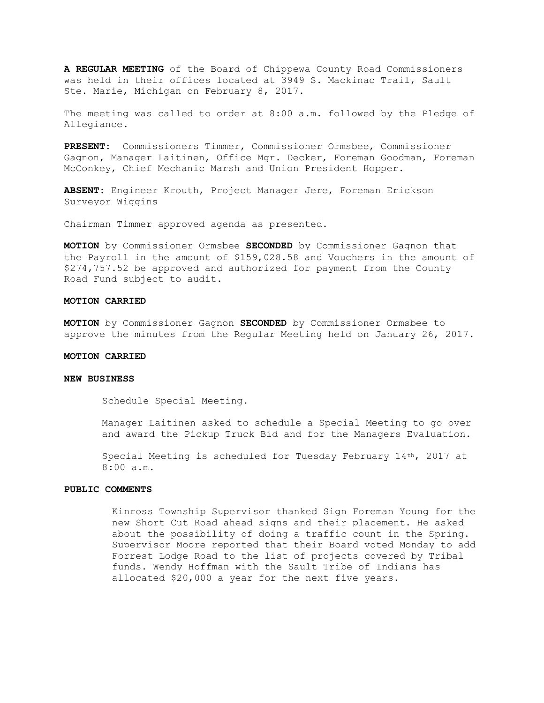**A REGULAR MEETING** of the Board of Chippewa County Road Commissioners was held in their offices located at 3949 S. Mackinac Trail, Sault Ste. Marie, Michigan on February 8, 2017.

The meeting was called to order at 8:00 a.m. followed by the Pledge of Allegiance.

**PRESENT:** Commissioners Timmer, Commissioner Ormsbee, Commissioner Gagnon, Manager Laitinen, Office Mgr. Decker, Foreman Goodman, Foreman McConkey, Chief Mechanic Marsh and Union President Hopper.

**ABSENT:** Engineer Krouth, Project Manager Jere, Foreman Erickson Surveyor Wiggins

Chairman Timmer approved agenda as presented.

**MOTION** by Commissioner Ormsbee **SECONDED** by Commissioner Gagnon that the Payroll in the amount of \$159,028.58 and Vouchers in the amount of \$274,757.52 be approved and authorized for payment from the County Road Fund subject to audit.

### **MOTION CARRIED**

**MOTION** by Commissioner Gagnon **SECONDED** by Commissioner Ormsbee to approve the minutes from the Regular Meeting held on January 26, 2017.

# **MOTION CARRIED**

# **NEW BUSINESS**

Schedule Special Meeting.

Manager Laitinen asked to schedule a Special Meeting to go over and award the Pickup Truck Bid and for the Managers Evaluation.

Special Meeting is scheduled for Tuesday February 14th, 2017 at 8:00 a.m.

# **PUBLIC COMMENTS**

Kinross Township Supervisor thanked Sign Foreman Young for the new Short Cut Road ahead signs and their placement. He asked about the possibility of doing a traffic count in the Spring. Supervisor Moore reported that their Board voted Monday to add Forrest Lodge Road to the list of projects covered by Tribal funds. Wendy Hoffman with the Sault Tribe of Indians has allocated \$20,000 a year for the next five years.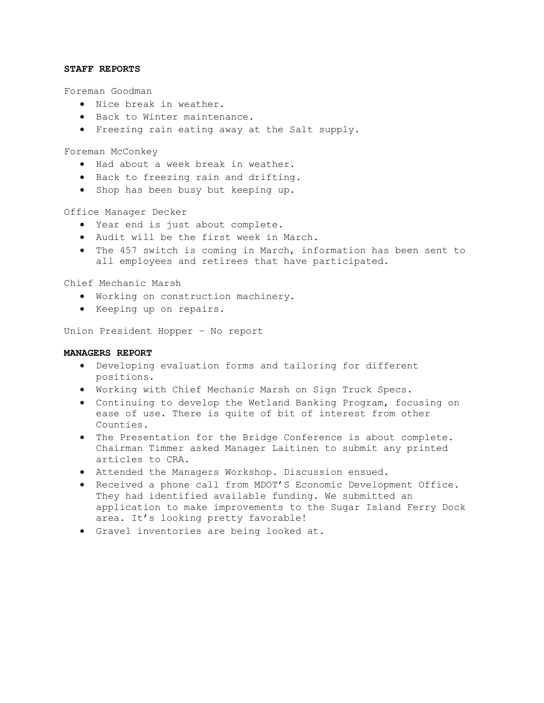### **STAFF REPORTS**

Foreman Goodman

- · Nice break in weather.
- · Back to Winter maintenance.
- · Freezing rain eating away at the Salt supply.

Foreman McConkey

- · Had about a week break in weather.
- · Back to freezing rain and drifting.
- · Shop has been busy but keeping up.

#### Office Manager Decker

- · Year end is just about complete.
- · Audit will be the first week in March.
- · The 457 switch is coming in March, information has been sent to all employees and retirees that have participated.

Chief Mechanic Marsh

- · Working on construction machinery.
- · Keeping up on repairs.

Union President Hopper – No report

### **MANAGERS REPORT**

- · Developing evaluation forms and tailoring for different positions.
- · Working with Chief Mechanic Marsh on Sign Truck Specs.
- · Continuing to develop the Wetland Banking Program, focusing on ease of use. There is quite of bit of interest from other Counties.
- · The Presentation for the Bridge Conference is about complete. Chairman Timmer asked Manager Laitinen to submit any printed articles to CRA.
- · Attended the Managers Workshop. Discussion ensued.
- · Received a phone call from MDOT'S Economic Development Office. They had identified available funding. We submitted an application to make improvements to the Sugar Island Ferry Dock area. It's looking pretty favorable!
- · Gravel inventories are being looked at.